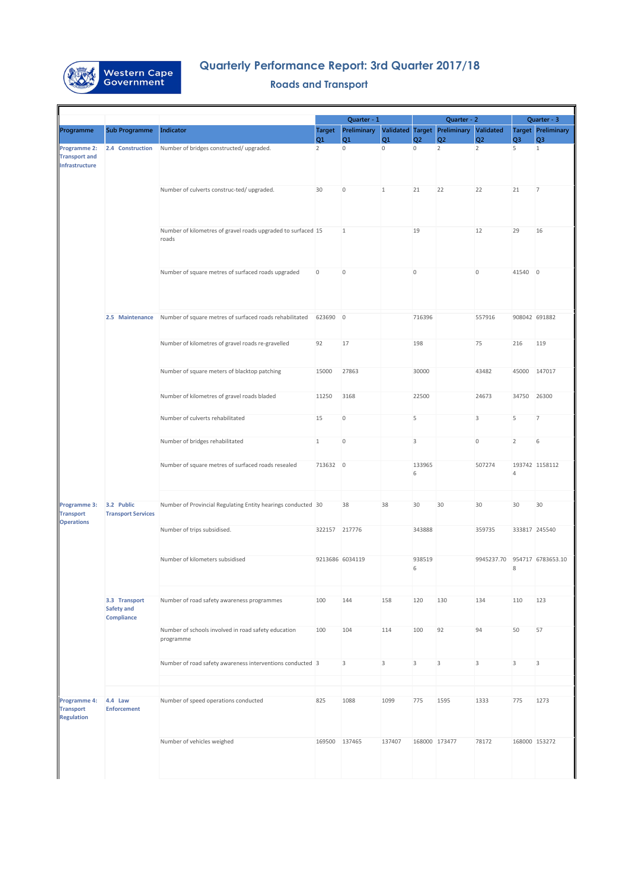|                                                              |                                                         |                                                                       | Quarter - 1          |                       |                      |                                  | Quarter - 2                            |                                  | Quarter - 3         |                                |
|--------------------------------------------------------------|---------------------------------------------------------|-----------------------------------------------------------------------|----------------------|-----------------------|----------------------|----------------------------------|----------------------------------------|----------------------------------|---------------------|--------------------------------|
| Programme                                                    | <b>Sub Programme</b>                                    | <b>Indicator</b>                                                      | <b>Target</b>        | Preliminary           |                      |                                  | Validated Target Preliminary Validated |                                  |                     | <b>Target Preliminary</b>      |
| <b>Programme 2:</b>                                          | 2.4 Construction                                        | Number of bridges constructed/ upgraded.                              | Q1<br>$\overline{2}$ | Q1 <br>$\overline{0}$ | Q1<br>$\overline{0}$ | Q <sub>2</sub><br>$\overline{0}$ | Q <sub>2</sub><br>$\overline{2}$       | Q <sub>2</sub><br>$\overline{2}$ | Q <sub>3</sub><br>5 | Q <sub>3</sub><br>$\mathbf{1}$ |
| <b>Transport and</b><br>Infrastructure                       |                                                         |                                                                       |                      |                       |                      |                                  |                                        |                                  |                     |                                |
|                                                              |                                                         | Number of culverts construc-ted/ upgraded.                            | 30                   | $\mathbf{0}$          | 1                    | 21                               | 22                                     | 22                               | 21                  | 7                              |
|                                                              |                                                         | Number of kilometres of gravel roads upgraded to surfaced 15<br>roads |                      | $\mathbf{1}$          |                      | 19                               |                                        | 12                               | 29                  | 16                             |
|                                                              |                                                         | Number of square metres of surfaced roads upgraded                    | $\overline{0}$       | $\overline{0}$        |                      | $\overline{0}$                   |                                        | $\overline{0}$                   | 41540 0             |                                |
|                                                              | 2.5 Maintenance                                         | Number of square metres of surfaced roads rehabilitated               | 623690 0             |                       |                      | 716396                           |                                        | 557916                           | 908042 691882       |                                |
|                                                              |                                                         | Number of kilometres of gravel roads re-gravelled                     | 92                   | 17                    |                      | 198                              |                                        | 75                               | 216                 | 119                            |
|                                                              |                                                         | Number of square meters of blacktop patching                          | 15000                | 27863                 |                      | 30000                            |                                        | 43482                            | 45000               | 147017                         |
|                                                              |                                                         | Number of kilometres of gravel roads bladed                           | 11250                | 3168                  |                      | 22500                            |                                        | 24673                            | 34750               | 26300                          |
|                                                              |                                                         | Number of culverts rehabilitated                                      | 15                   | $\overline{0}$        |                      | 5                                |                                        | $\mathsf 3$                      | 5                   | 7                              |
|                                                              |                                                         | Number of bridges rehabilitated                                       | $\mathbf{1}$         | $\Omega$              |                      | 3                                |                                        | $\Omega$                         | 2                   | 6                              |
|                                                              |                                                         | Number of square metres of surfaced roads resealed                    | 713632 0             |                       |                      | 133965<br>6                      |                                        | 507274                           | $\overline{4}$      | 193742 1158112                 |
| <b>Programme 3:</b><br><b>Transport</b><br><b>Operations</b> | 3.2 Public<br><b>Transport Services</b>                 | Number of Provincial Regulating Entity hearings conducted 30          |                      | 38                    | 38                   | 30                               | 30                                     | 30                               | 30                  | 30                             |
|                                                              |                                                         | Number of trips subsidised.                                           | 322157 217776        |                       |                      | 343888                           |                                        | 359735                           | 333817 245540       |                                |
|                                                              |                                                         | Number of kilometers subsidised                                       |                      | 9213686 6034119       |                      | 938519<br>6                      |                                        | 9945237.70                       | 8                   | 954717 6783653.10              |
|                                                              | 3.3 Transport<br><b>Safety and</b><br><b>Compliance</b> | Number of road safety awareness programmes                            | 100                  | 144                   | 158                  | 120                              | 130                                    | 134                              | 110                 | 123                            |
|                                                              |                                                         | Number of schools involved in road safety education<br>programme      | 100                  | 104                   | 114                  | 100                              | 92                                     | 94                               | 50                  | 57                             |
|                                                              |                                                         | Number of road safety awareness interventions conducted 3             |                      | 3                     | 3                    | 3                                | 3                                      | 3                                | 3                   | 3                              |
|                                                              |                                                         |                                                                       |                      |                       |                      |                                  |                                        |                                  |                     |                                |
| Programme 4:<br><b>Transport</b><br><b>Regulation</b>        | 4.4 Law<br><b>Enforcement</b>                           | Number of speed operations conducted                                  | 825                  | 1088                  | 1099                 | 775                              | 1595                                   | 1333                             | 775                 | 1273                           |
|                                                              |                                                         | Number of vehicles weighed                                            | 169500 137465        |                       | 137407               | 168000 173477                    |                                        | 78172                            | 168000 153272       |                                |



## **Quarterly Performance Report: 3rd Quarter 2017/18**

## **Roads and Transport**